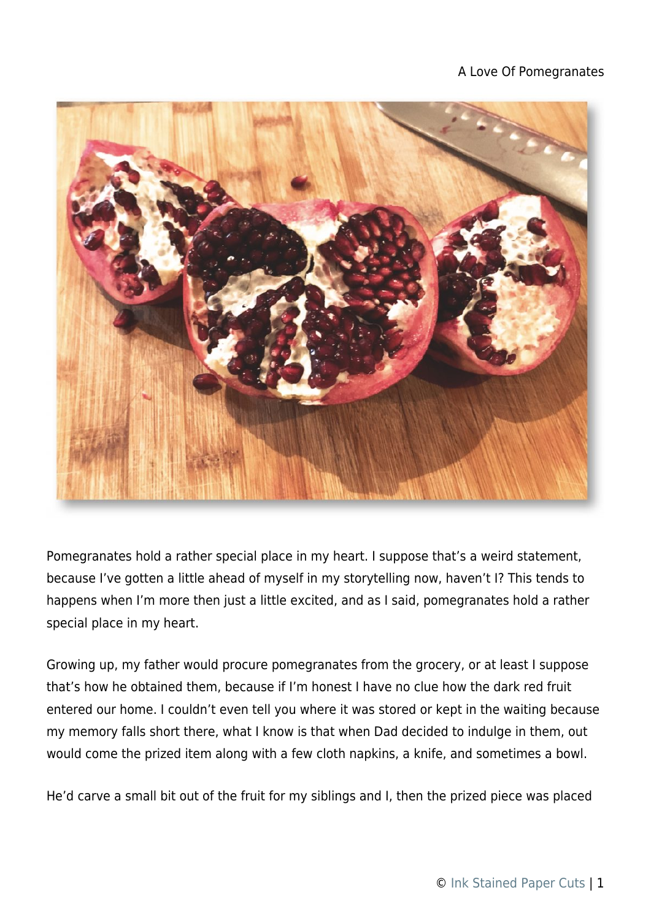## A Love Of Pomegranates



Pomegranates hold a rather special place in my heart. I suppose that's a weird statement, because I've gotten a little ahead of myself in my storytelling now, haven't I? This tends to happens when I'm more then just a little excited, and as I said, pomegranates hold a rather special place in my heart.

Growing up, my father would procure pomegranates from the grocery, or at least I suppose that's how he obtained them, because if I'm honest I have no clue how the dark red fruit entered our home. I couldn't even tell you where it was stored or kept in the waiting because my memory falls short there, what I know is that when Dad decided to indulge in them, out would come the prized item along with a few cloth napkins, a knife, and sometimes a bowl.

He'd carve a small bit out of the fruit for my siblings and I, then the prized piece was placed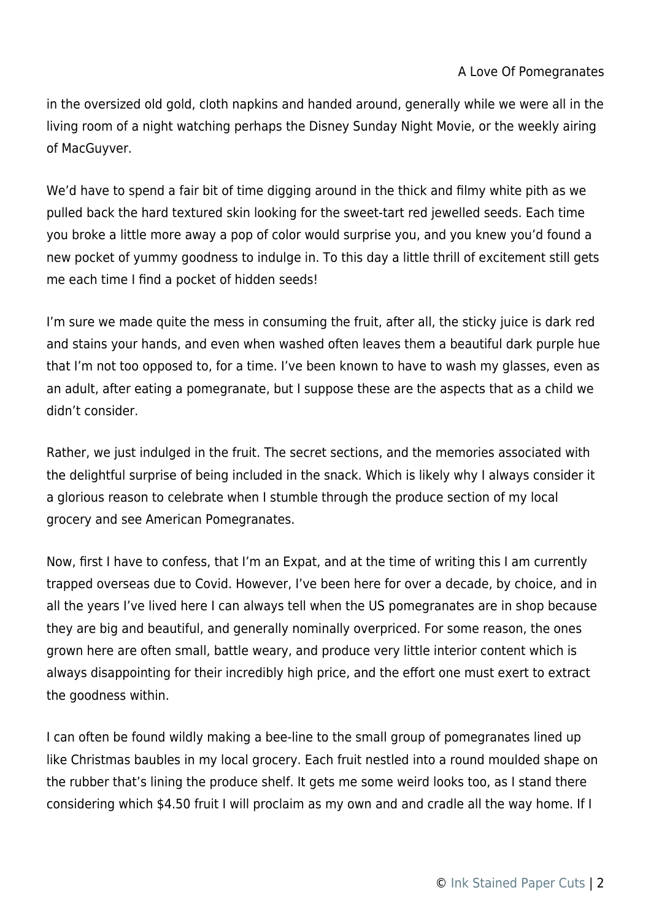in the oversized old gold, cloth napkins and handed around, generally while we were all in the living room of a night watching perhaps the Disney Sunday Night Movie, or the weekly airing of MacGuyver.

We'd have to spend a fair bit of time digging around in the thick and filmy white pith as we pulled back the hard textured skin looking for the sweet-tart red jewelled seeds. Each time you broke a little more away a pop of color would surprise you, and you knew you'd found a new pocket of yummy goodness to indulge in. To this day a little thrill of excitement still gets me each time I find a pocket of hidden seeds!

I'm sure we made quite the mess in consuming the fruit, after all, the sticky juice is dark red and stains your hands, and even when washed often leaves them a beautiful dark purple hue that I'm not too opposed to, for a time. I've been known to have to wash my glasses, even as an adult, after eating a pomegranate, but I suppose these are the aspects that as a child we didn't consider.

Rather, we just indulged in the fruit. The secret sections, and the memories associated with the delightful surprise of being included in the snack. Which is likely why I always consider it a glorious reason to celebrate when I stumble through the produce section of my local grocery and see American Pomegranates.

Now, first I have to confess, that I'm an Expat, and at the time of writing this I am currently trapped overseas due to Covid. However, I've been here for over a decade, by choice, and in all the years I've lived here I can always tell when the US pomegranates are in shop because they are big and beautiful, and generally nominally overpriced. For some reason, the ones grown here are often small, battle weary, and produce very little interior content which is always disappointing for their incredibly high price, and the effort one must exert to extract the goodness within.

I can often be found wildly making a bee-line to the small group of pomegranates lined up like Christmas baubles in my local grocery. Each fruit nestled into a round moulded shape on the rubber that's lining the produce shelf. It gets me some weird looks too, as I stand there considering which \$4.50 fruit I will proclaim as my own and and cradle all the way home. If I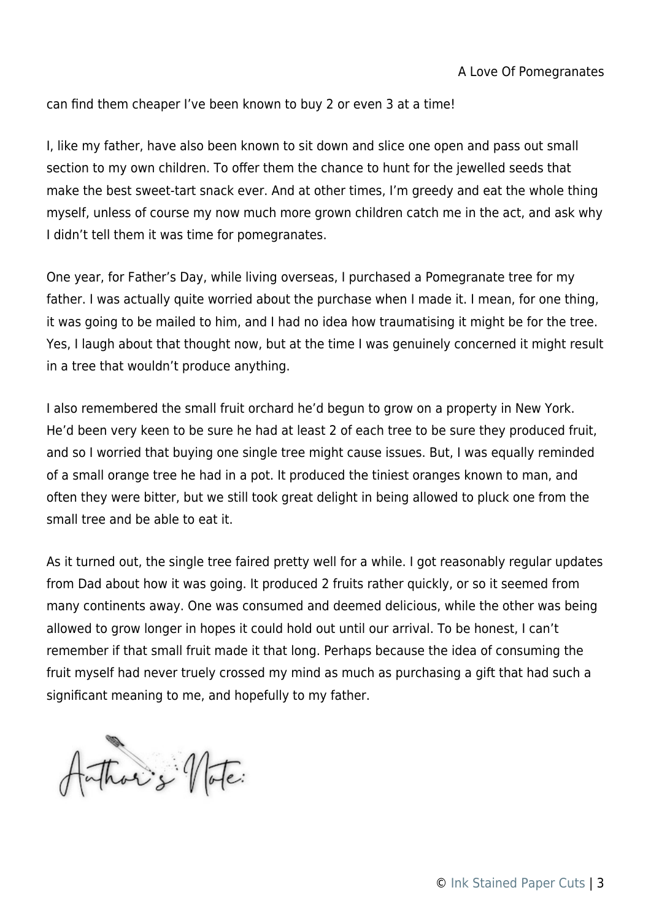can find them cheaper I've been known to buy 2 or even 3 at a time!

I, like my father, have also been known to sit down and slice one open and pass out small section to my own children. To offer them the chance to hunt for the jewelled seeds that make the best sweet-tart snack ever. And at other times, I'm greedy and eat the whole thing myself, unless of course my now much more grown children catch me in the act, and ask why I didn't tell them it was time for pomegranates.

One year, for Father's Day, while living overseas, I purchased a Pomegranate tree for my father. I was actually quite worried about the purchase when I made it. I mean, for one thing, it was going to be mailed to him, and I had no idea how traumatising it might be for the tree. Yes, I laugh about that thought now, but at the time I was genuinely concerned it might result in a tree that wouldn't produce anything.

I also remembered the small fruit orchard he'd begun to grow on a property in New York. He'd been very keen to be sure he had at least 2 of each tree to be sure they produced fruit, and so I worried that buying one single tree might cause issues. But, I was equally reminded of a small orange tree he had in a pot. It produced the tiniest oranges known to man, and often they were bitter, but we still took great delight in being allowed to pluck one from the small tree and be able to eat it.

As it turned out, the single tree faired pretty well for a while. I got reasonably regular updates from Dad about how it was going. It produced 2 fruits rather quickly, or so it seemed from many continents away. One was consumed and deemed delicious, while the other was being allowed to grow longer in hopes it could hold out until our arrival. To be honest, I can't remember if that small fruit made it that long. Perhaps because the idea of consuming the fruit myself had never truely crossed my mind as much as purchasing a gift that had such a significant meaning to me, and hopefully to my father.

Authoris Vote: